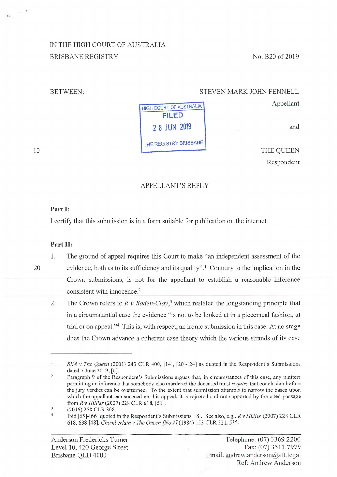# IN THE HIGH COURT OF AUSTRALIA BRISBANE REGISTRY No. B20 of 2019

#### BETWEEN: STEVEN MARK JOHN FENNELL

Appellant

and

THE QUEEN

Respondent

# APPELLANT'S REPLY

HIGH COURT OF AUSTRALIA **FILED** 

**2 8 JUN 2019** 

THE REGISTRY BRISBANE

### **Part I:**

I certify that this submission is in a form suitable for publication on the internet.

# **Part II:**

1. The ground of appeal requires this Court to make "an independent assessment of the evidence, both as to its sufficiency and its quality".<sup>1</sup> Contrary to the implication in the Crown submissions, is not for the appellant to establish a reasonable inference consistent with innocence.<sup>2</sup>

2. The Crown refers to *R v Baden-Clay*,<sup>3</sup> which restated the longstanding principle that in a circumstantial case the evidence "is not to be looked at in a piecemeal fashion, at trial or on appeal."4 This is, with respect, an ironic submission in this case. At no stage does the Crown advance a coherent case theory which the various strands of its case

10

và.

*SKA v The Queen* (2001) 243 CLR 400, [14], [20]-[24] as quoted in the Respondent's Submissions dated 7 June 2019, [6].

Paragraph 9 of the Respondent's Submissions argues that, in circumstances of this case, any matters permitting an inference that somebody else murdered the deceased must *require* that conclusion before the jury verdict can be overturned. To the extent that submission attempts to narrow the bases upon which the appellant can succeed on this appeal, it is rejected and not supported by the cited passage from  $R \nu$  *Hillier* (2007) 228 CLR 618, [51].

 $\overline{\mathbf{3}}$ (2016) 258 CLR 308.

<sup>4</sup>  Ibid [65]-[66] quoted in the Respondent's Submissions, [8]. See also, e.g., *R* v *Hillier* (2007) 228 CLR 618, 638 [48]; *Chamberlain v The Queen [No 2]* (1984) 153 CLR 521 , 535.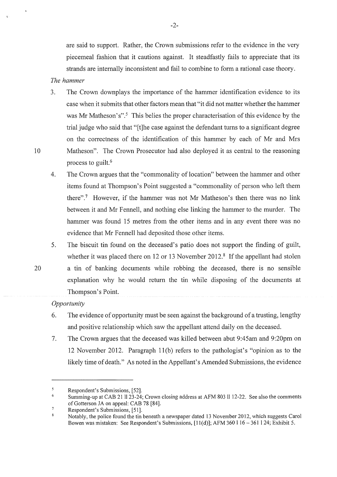are said to support. Rather, the Crown submissions refer to the evidence in the very piecemeal fashion that it cautions against. It steadfastly fails to appreciate that its strands are internally inconsistent and fail to combine to form a rational case theory.

# *The hammer*

- 3. The Crown downplays the importance of the hammer identification evidence to its case when it submits that other factors mean that "it did not matter whether the hammer was Mr Matheson's".<sup>5</sup> This belies the proper characterisation of this evidence by the trial judge who said that "[t]he case against the defendant turns to a significant degree on the correctness of the identification of this hammer by each of Mr and Mrs 10 Matheson". The Crown Prosecutor had also deployed it as central to the reasoning process to guilt. 6
	- 4. The Crown argues that the "commonality of location" between the hammer and other items found at Thompson's Point suggested a "commonality of person who left them there".<sup>7</sup> However, if the hammer was not Mr Matheson's then there was no link between it and Mr Fennell, and nothing else linking the hammer to the murder. The hammer was found 15 metres from the other items and in any event there was no evidence that Mr Fennell had deposited those other items.
	- 5. The biscuit tin found on the deceased's patio does not support the finding of guilt, whether it was placed there on 12 or 13 November  $2012$ .<sup>8</sup> If the appellant had stolen a tin of banking documents while robbing the deceased, there is no sensible explanation why he would return the tin while disposing of the documents at Thompson's Point.

# *Opportunity*

20

- 6. The evidence of opportunity must be seen against the background of a trusting, lengthy and positive relationship which saw the appellant attend daily on the deceased.
- 7. The Crown argues that the deceased was killed between abut 9:45am and 9:20pm on 12 November 2012. Paragraph ll(b) refers to the pathologist's "opinion as to the likely time of death." As noted in the Appellant's Amended Submissions, the evidence

<sup>5</sup>  Respondent's Submissions, [52].

<sup>6</sup>  Summing-up at CAB 21 ll 23-24; Crown closing address at AFM 803 11 12-22. See also the comments of Gotterson JA on appeal: CAB 78 [84].

 $\overline{7}$ Respondent's Submissions, [51].

 $\overline{\mathbf{8}}$ Notably, the police found the tin beneath a newspaper dated 13 November 2012, which suggests Carol Bowen was mistaken: See Respondent's Submissions, [11(d)]; AFM 360 116 - 361 124; Exhibit 5.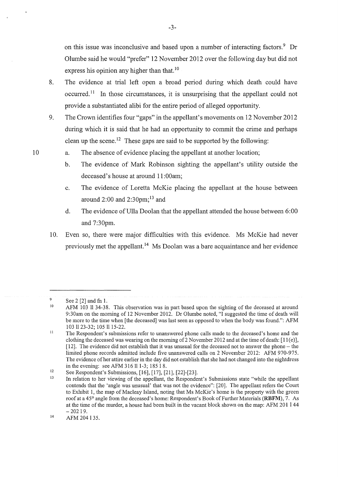on this issue was inconclusive and based upon a number of interacting factors.<sup>9</sup> Dr Olumbe said he would "prefer" 12 November 2012 over the following day but did not express his opinion any higher than that.<sup>10</sup>

- 8. The evidence at trial left open a broad period during which death could have  $occurred<sup>11</sup>$  In those circumstances, it is unsurprising that the appellant could not provide a substantiated alibi for the entire period of alleged opportunity.
- 9. The Crown identifies four "gaps" in the appellant's movements on 12 November 2012 during which it is said that he had an opportunity to commit the crime and perhaps clean up the scene.<sup>12</sup> These gaps are said to be supported by the following:
	- a. The absence of evidence placing the appellant at another location;
		- b. The evidence of Mark Robinson sighting the appellant's utility outside the deceased's house at around 11 :00am;
		- c. The evidence of Loretta McKie placing the appellant at the house between around 2:00 and  $2:30$ pm;<sup>13</sup> and
		- d. The evidence of Ulla Doolan that the appellant attended the house between 6:00 and 7:30pm.
- 10. Even so, there were major difficulties with this evidence. Ms McKie had never previously met the appellant.<sup>14</sup> Ms Doolan was a bare acquaintance and her evidence

10

 $\mathbf{\hat{9}}$ See 2 [2] and fn 1.

IO AFM 103 11 34-38. This observation was in part based upon the sighting of the deceased at around 9:30am on the morning of 12 November 2012. Dr Olumbe noted, "I suggested the time of death will be more to the time when [the deceased] was last seen as opposed to when the body was found.": AFM 103 11 23-32; 105 11 15-22.

<sup>11</sup>  The Respondent's submissions refer to unanswered phone calls made to the deceased's home and the clothing the deceased was wearing on the morning of 2 November 2012 and at the time of death:  $[11(e)]$ , [12]. The evidence did not establish that it was unusual for the deceased not to answer the phone – the limited phone records admitted include five unanswered calls on 2 November 2012: AFM 970-975. The evidence of her attire earlier in the day did not establish that she had not changed into the nightdress in the evening: see AFM 316 ll 1-3; 185 18.

<sup>12</sup>  See Respondent's Submissions, [16], [17], [21], [22]-[23].

<sup>13</sup>  In relation to her viewing of the appellant, the Respondent's Submissions state "while the appellant contends that the 'angle was unusual' that was not the evidence": [20]. The appellant refers the Court to Exhibit 1, the map of Macleay Island, noting that Ms McKie's home is the property with the green roof at a 45° angle from the deceased's home: Respondent's Book of Further Materials **(RBFM),** 7. As at the time of the murder, a house had been built in the vacant block shown on the map: AFM 201 l 44  $-20219.$ 

<sup>14</sup>  AFM 204135.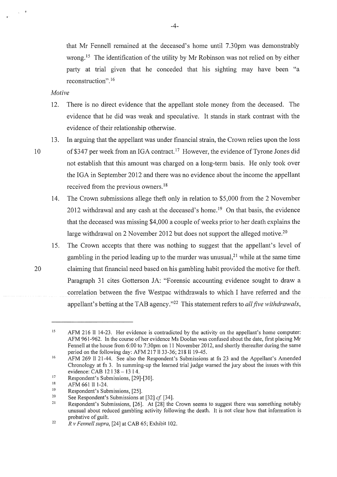that Mr Fennell remained at the deceased's home until 7.30pm was demonstrably wrong.<sup>15</sup> The identification of the utility by Mr Robinson was not relied on by either party at trial given that he conceded that his sighting may have been "a reconstruction". <sup>16</sup>

*Motive* 

- 12. There is no direct evidence that the appellant stole money from the deceased. The evidence that he did was weak and speculative. It stands in stark contrast with the evidence of their relationship otherwise.
- 13. In arguing that the appellant was under financial strain, the Crown relies upon the loss 10 of \$347 per week from an IGA contract.<sup>17</sup> However, the evidence of Tyrone Jones did not establish that this amount was charged on a long-term basis. He only took over the IGA in September 2012 and there was no evidence about the income the appellant received from the previous owners. <sup>18</sup>
	- 14. The Crown submissions allege theft only in relation to \$5,000 from the 2 November  $2012$  withdrawal and any cash at the deceased's home.<sup>19</sup> On that basis, the evidence that the deceased was missing \$4,000 a couple of weeks prior to her death explains the large withdrawal on 2 November 2012 but does not support the alleged motive.<sup>20</sup>
- 15. The Crown accepts that there was nothing to suggest that the appellant's level of gambling in the period leading up to the murder was unusual,<sup>21</sup> while at the same time 20 claiming that financial need based on his gambling habit provided the motive for theft. Paragraph 31 cites Gotterson JA: "Forensic accounting evidence sought to draw a correlation between the five Westpac withdrawals to which I have referred and the appellant's betting at the TAB agency. "22 This statement refers to *all jive withdrawals,*

<sup>15</sup>  AFM 216 II 14-23. Her evidence is contradicted by the activity on the appellant's home computer: AFM 961-962. In the course of her evidence Ms Doolan was confused about the date, first placing Mr Fennell at the house from 6:00 to 7:30pm on 11 November 2012, and shortly thereafter during the same period on the following day: AFM 217 ll 33-36; 218 ll 19-45.

<sup>16</sup>  AFM 269 II 21-44. See also the Respondent's Submissions at fn 23 and the Appellant's Amended Chronology at fn 3. In summing-up the learned trial judge warned the jury about the issues with this evidence: CAB 12138- 13 14.

<sup>17</sup>  Respondent's Submissions, [29]-[30].

<sup>18</sup>  AFM 661 II 1-24.

<sup>19</sup>  Respondent's Submissions, [25].

<sup>20</sup>  See Respondent's Submissions at [32] *cf* [34].

<sup>21</sup>  Respondent's Submissions, [26]. At [28] the Crown seems to suggest there was something notably unusual about reduced gambling activity following the death. It is not clear how that information is probative of guilt.

<sup>22</sup>  *R* v *Fennell supra,* [24] at CAB 65; Exhibit 102.